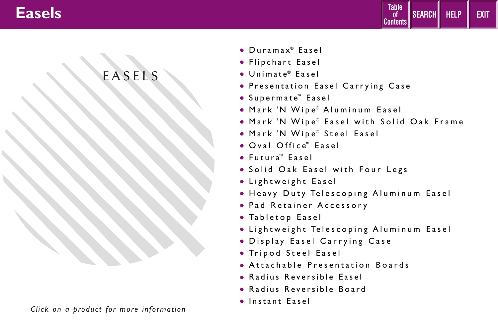

# EASELS

- [Duramax®](#page-1-0) Easel
- [Flipchart Easel](#page-2-0)
- [Unimate®](#page-3-0) Easel
- [Presentation Easel Carrying Case](#page-4-0)
- [Supermate™](#page-5-0) Easel
- Mark 'N Wipe® [Aluminum Easel](#page-6-0)
- Mark 'N Wipe® [Easel with Solid Oak Frame](#page-7-0)
- [Mark 'N Wipe](#page-8-0)® Steel Easel
- [Oval Office™](#page-9-0) Easel
- [Futura™](#page-10-0) Easel
- [Solid Oak Easel with Four Legs](#page-11-0)
- [Lightweight Easel](#page-12-0)
- Heavy Duty Telescoping Aluminum Easel
- Pad Retainer Accessory
- [Tabletop Easel](#page-14-0)
- Lightweight Telescoping Aluminum Easel
- [Display Easel Carrying Case](#page-16-0)
- Tripod Steel Easel
- [Attachable Presentation Boards](#page-17-0)
- [Radius Reversible Easel](#page-18-0)
- [Radius Reversible Board](#page-19-0)
- [Instant Easel](#page-20-0)

*Click on a product for more information*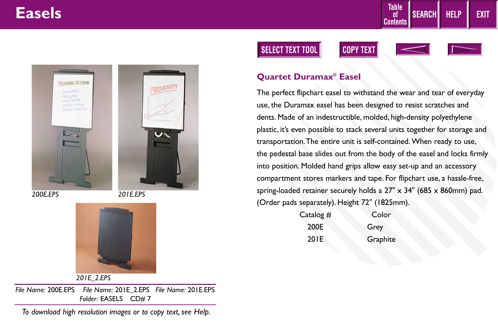<span id="page-1-0"></span>





*201E\_2.EPS*

*File Name:* 200E.EPS *File Name:* 201E\_2.EPS *File Name:* 201E.EPS *Folder:* EASELS CD# 7

*To download high resolution images or to copy text, see Help.*

### **SELECT TEXT TOOL COPY TEXT**





**HELP EXIT**

**SEARCH**

**Table of Contents**

#### **Quartet Duramax® Easel**

The perfect flipchart easel to withstand the wear and tear of everyday use, the Duramax easel has been designed to resist scratches and dents. Made of an indestructible, molded, high-density polyethylene plastic, it's even possible to stack several units together for storage and transportation.The entire unit is self-contained. When ready to use, the pedestal base slides out from the body of the easel and locks firmly into position. Molded hand grips allow easy set-up and an accessory compartment stores markers and tape. For flipchart use, a hassle-free, spring-loaded retainer securely holds a  $27'' \times 34''$  (685 x 860mm) pad. (Order pads separately). Height 72" (1825mm).

| Catalog # | Color    |
|-----------|----------|
| 200E      | Grey     |
| 201E      | Graphite |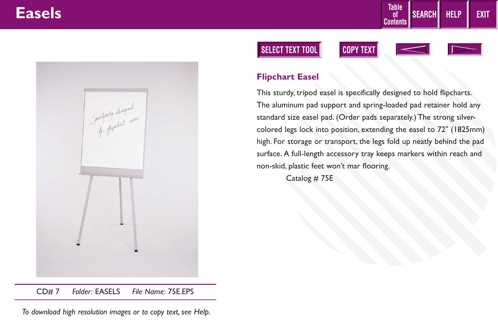<span id="page-2-0"></span>

### **SELECT TEXT TOOL COPY TEXT**





**HELP EXIT**

**SEARCH**

**Table of Contents**

### **Flipchart Easel**

This sturdy, tripod easel is specifically designed to hold flipcharts. The aluminum pad support and spring-loaded pad retainer hold any standard size easel pad. (Order pads separately.) The strong silvercolored legs lock into position, extending the easel to 72" (1825mm) high. For storage or transport, the legs fold up neatly behind the pad surface. A full-length accessory tray keeps markers within reach and non-skid, plastic feet won't mar flooring.

Catalog # 75E

CD# 7 *Folder:* EASELS *File Name:* 75E.EPS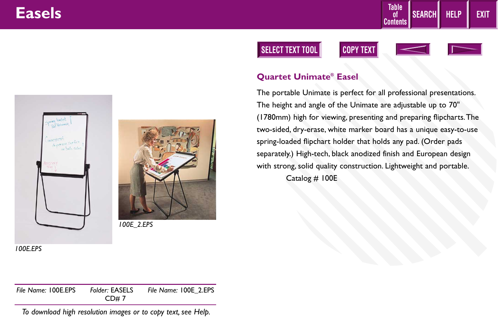<span id="page-3-0"></span>



### **SELECT TEXT TOOL COPY TEXT**





**HELP EXIT**

**SEARCH**

**Table of Contents**

### **Quartet Unimate® Easel**

The portable Unimate is perfect for all professional presentations. The height and angle of the Unimate are adjustable up to 70" (1780mm) high for viewing, presenting and preparing flipcharts.The two-sided, dry-erase, white marker board has a unique easy-to-use spring-loaded flipchart holder that holds any pad. (Order pads separately.) High-tech, black anodized finish and European design with strong, solid quality construction. Lightweight and portable. Catalog # 100E

*100E.EPS*

*File Name:* 100E.EPS *Folder:* EASELS *File Name:* 100E\_2.EPS CD# 7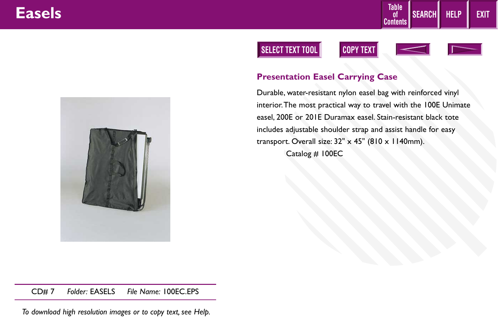<span id="page-4-0"></span>

### **SELECT TEXT TOOL COPY TEXT**





**SEARCH**

**Table of Contents**



**HELP EXIT**

### **Presentation Easel Carrying Case**

Durable, water-resistant nylon easel bag with reinforced vinyl interior.The most practical way to travel with the 100E Unimate easel, 200E or 201E Duramax easel. Stain-resistant black tote includes adjustable shoulder strap and assist handle for easy transport. Overall size:  $32'' \times 45''$  (810 x 1140mm). Catalog # 100EC

CD# 7 *Folder:* EASELS *File Name:* 100EC.EPS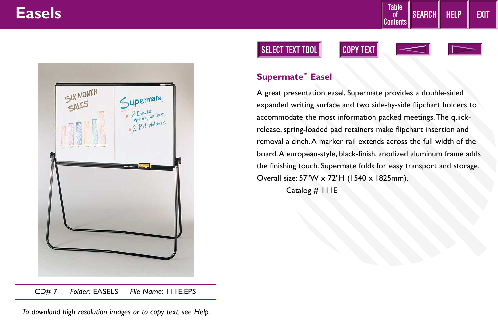<span id="page-5-0"></span>

#### CD# 7 *Folder:* EASELS *File Name:* 111E.EPS

*To download high resolution images or to copy text, see Help.*

### **SELECT TEXT TOOL COPY TEXT**





**HELP EXIT**

**SEARCH**

**Table of Contents**

### **Supermate™ Easel**

A great presentation easel, Supermate provides a double-sided expanded writing surface and two side-by-side flipchart holders to accommodate the most information packed meetings.The quickrelease, spring-loaded pad retainers make flipchart insertion and removal a cinch.A marker rail extends across the full width of the board.A european-style, black-finish, anodized aluminum frame adds the finishing touch. Supermate folds for easy transport and storage. Overall size: 57"W x 72"H (1540 x 1825mm).

Catalog # 111E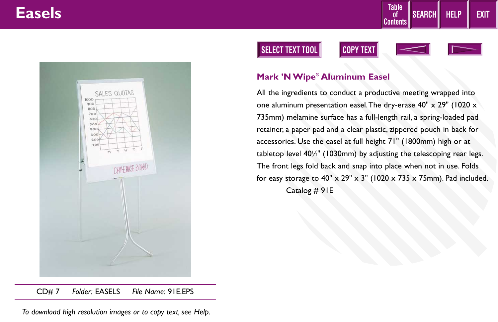<span id="page-6-0"></span>

CD# 7 *Folder:* EASELS *File Name:* 91E.EPS

*To download high resolution images or to copy text, see Help.*

### **SELECT TEXT TOOL COPY TEXT**





**HELP EXIT**

**SEARCH**

**Table of Contents**

#### **Mark 'N Wipe® Aluminum Easel**

All the ingredients to conduct a productive meeting wrapped into one aluminum presentation easel.The dry-erase 40" x 29" (1020 x 735mm) melamine surface has a full-length rail, a spring-loaded pad retainer, a paper pad and a clear plastic, zippered pouch in back for accessories. Use the easel at full height 71" (1800mm) high or at tabletop level 401 ⁄2" (1030mm) by adjusting the telescoping rear legs. The front legs fold back and snap into place when not in use. Folds for easy storage to  $40'' \times 29'' \times 3''$  (1020 x 735 x 75mm). Pad included. Catalog # 91E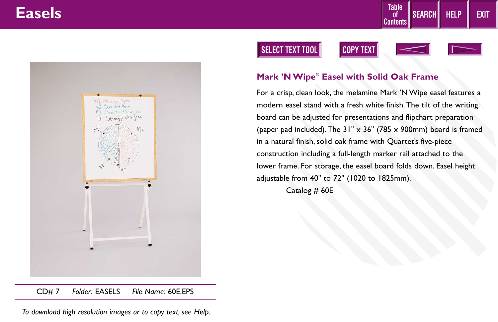<span id="page-7-0"></span>

#### CD# 7 *Folder:* EASELS *File Name:* 60E.EPS

*To download high resolution images or to copy text, see Help.*

### **SELECT TEXT TOOL COPY TEXT**



**HELP EXIT**

**SEARCH**

**Table of Contents**

#### **Mark 'N Wipe® Easel with Solid Oak Frame**

For a crisp, clean look, the melamine Mark 'N Wipe easel features a modern easel stand with a fresh white finish.The tilt of the writing board can be adjusted for presentations and flipchart preparation (paper pad included). The  $31'' \times 36''$  (785 x 900mm) board is framed in a natural finish, solid oak frame with Quartet's five-piece construction including a full-length marker rail attached to the lower frame. For storage, the easel board folds down. Easel height adjustable from 40" to 72" (1020 to 1825mm).

Catalog # 60E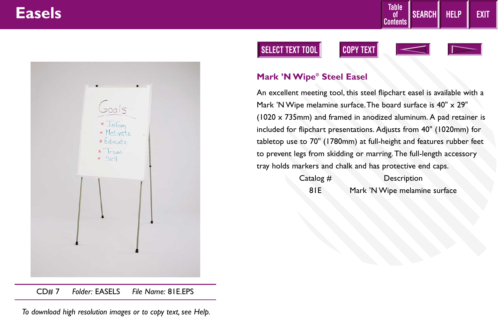<span id="page-8-0"></span>

CD# 7 *Folder:* EASELS *File Name:* 81E.EPS

*To download high resolution images or to copy text, see Help.*

### **SELECT TEXT TOOL COPY TEXT**





**Table of Contents**

**SEARCH**



**HELP EXIT**

### **Mark 'N Wipe® Steel Easel**

An excellent meeting tool, this steel flipchart easel is available with a Mark 'N Wipe melamine surface. The board surface is 40" x 29" (1020 x 735mm) and framed in anodized aluminum. A pad retainer is included for flipchart presentations. Adjusts from 40" (1020mm) for tabletop use to 70" (1780mm) at full-height and features rubber feet to prevent legs from skidding or marring.The full-length accessory tray holds markers and chalk and has protective end caps.

> Catalog # Description 81E Mark 'N Wipe melamine surface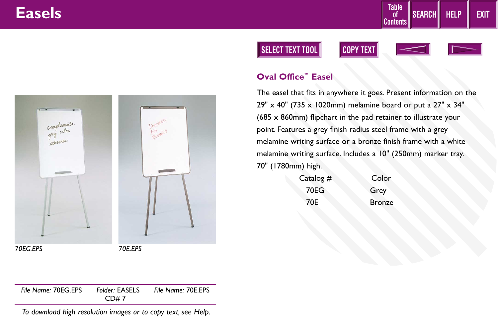<span id="page-9-0"></span>

*70EG.EPS 70E.EPS*

**SELECT TEXT TOOL COPY TEXT**





**HELP EXIT**

**SEARCH**

**Table of Contents**

### **Oval Office™ Easel**

The easel that fits in anywhere it goes. Present information on the 29" x 40" (735 x 1020mm) melamine board or put a 27" x 34" (685 x 860mm) flipchart in the pad retainer to illustrate your point. Features a grey finish radius steel frame with a grey melamine writing surface or a bronze finish frame with a white melamine writing surface. Includes a 10" (250mm) marker tray. 70" (1780mm) high.

| Catalog $#$ | Color         |
|-------------|---------------|
| 70EG        | Grey          |
| 70E         | <b>Bronze</b> |

*File Name:* 70EG.EPS *Folder:* EASELS *File Name:* 70E.EPS CD# 7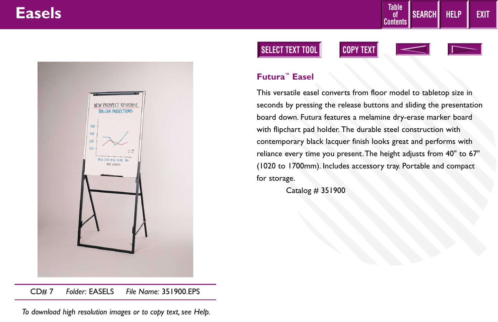<span id="page-10-0"></span>

#### CD# 7 *Folder:* EASELS *File Name:* 351900.EPS

*To download high resolution images or to copy text, see Help.*

### **SELECT TEXT TOOL COPY TEXT**

![](_page_10_Picture_5.jpeg)

**Table of Contents**

![](_page_10_Picture_6.jpeg)

**HELP EXIT**

**SEARCH**

### **Futura™ Easel**

This versatile easel converts from floor model to tabletop size in seconds by pressing the release buttons and sliding the presentation board down. Futura features a melamine dry-erase marker board with flipchart pad holder. The durable steel construction with contemporary black lacquer finish looks great and performs with reliance every time you present.The height adjusts from 40" to 67" (1020 to 1700mm). Includes accessory tray. Portable and compact for storage.

Catalog # 351900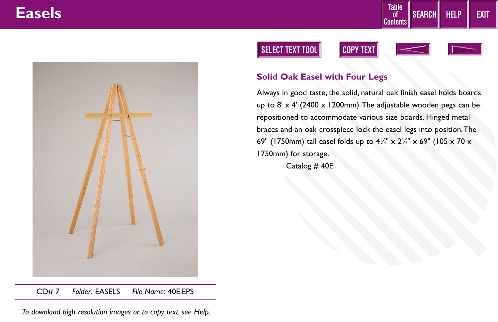<span id="page-11-0"></span>![](_page_11_Picture_1.jpeg)

### **SELECT TEXT TOOL COPY TEXT**

![](_page_11_Picture_3.jpeg)

Always in good taste, the solid, natural oak finish easel holds boards up to  $8' \times 4'$  (2400  $\times$  1200mm). The adjustable wooden pegs can be repositioned to accommodate various size boards. Hinged metal braces and an oak crosspiece lock the easel legs into position.The 69" (1750mm) tall easel folds up to 41 ⁄4" x 23 ⁄4" x 69" (105 x 70 x 1750mm) for storage.

**SEARCH**

**HELP EXIT**

**Table of Contents**

Catalog # 40E

CD# 7 *Folder:* EASELS *File Name:* 40E.EPS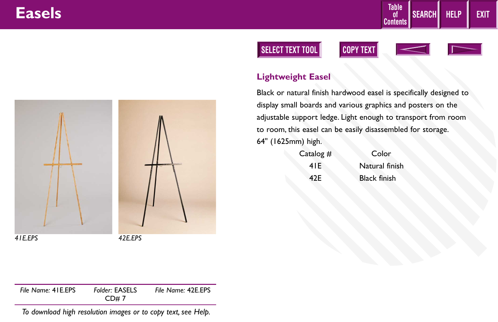<span id="page-12-0"></span>![](_page_12_Picture_1.jpeg)

### **SELECT TEXT TOOL COPY TEXT**

![](_page_12_Picture_3.jpeg)

![](_page_12_Picture_4.jpeg)

**HELP EXIT**

**SEARCH**

**Table of Contents**

### **Lightweight Easel**

Black or natural finish hardwood easel is specifically designed to display small boards and various graphics and posters on the adjustable support ledge. Light enough to transport from room to room, this easel can be easily disassembled for storage. 64" (1625mm) high.

| Catalog $#$ | Color               |
|-------------|---------------------|
| 41 E        | Natural finish      |
| 42E         | <b>Black finish</b> |

*File Name:* 41E.EPS *Folder:* EASELS *File Name:* 42E.EPS CD# 7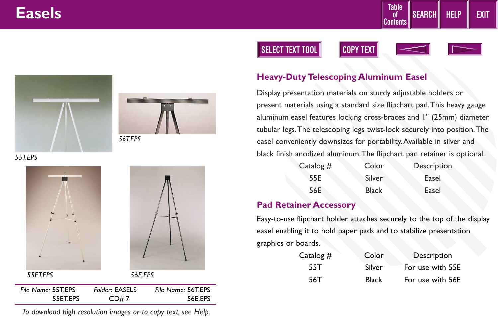![](_page_13_Picture_1.jpeg)

![](_page_13_Picture_2.jpeg)

![](_page_13_Picture_3.jpeg)

**HELP EXIT**

**SEARCH**

**Table of Contents**

<span id="page-13-0"></span>![](_page_13_Picture_4.jpeg)

![](_page_13_Picture_5.jpeg)

*55T.EPS*

![](_page_13_Picture_7.jpeg)

#### **Heavy-Duty Telescoping Aluminum Easel**

Display presentation materials on sturdy adjustable holders or present materials using a standard size flipchart pad.This heavy gauge aluminum easel features locking cross-braces and 1" (25mm) diameter tubular legs.The telescoping legs twist-lock securely into position.The easel conveniently downsizes for portability.Available in silver and black finish anodized aluminum.The flipchart pad retainer is optional.

| Catalog $#$ | Color  | Description |  |
|-------------|--------|-------------|--|
| 55E         | Silver | Easel       |  |
| 56E         | Black  | Easel       |  |

### **Pad Retainer Accessory**

Easy-to-use flipchart holder attaches securely to the top of the display easel enabling it to hold paper pads and to stabilize presentation graphics or boards.

| Catalog $#$ | Color        | Description      |
|-------------|--------------|------------------|
| 55T         | Silver       | For use with 55E |
| 56T         | <b>Black</b> | For use with 56E |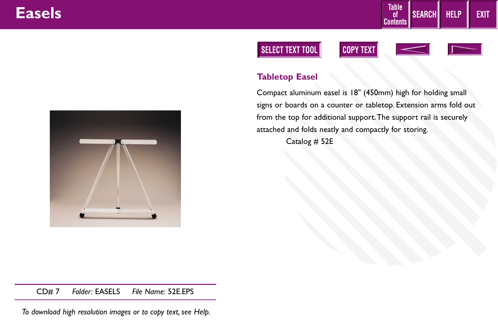<span id="page-14-0"></span>![](_page_14_Picture_1.jpeg)

### **SELECT TEXT TOOL COPY TEXT**

![](_page_14_Picture_3.jpeg)

![](_page_14_Picture_4.jpeg)

**HELP EXIT**

**SEARCH**

**Table of Contents**

### **Tabletop Easel**

Compact aluminum easel is 18" (450mm) high for holding small signs or boards on a counter or tabletop. Extension arms fold out from the top for additional support.The support rail is securely attached and folds neatly and compactly for storing.

Catalog # 52E

CD# 7 *Folder:* EASELS *File Name:* 52E.EPS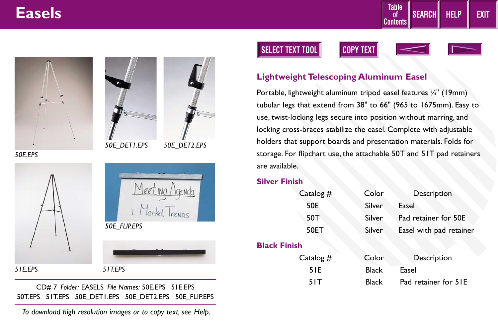<span id="page-15-0"></span>![](_page_15_Picture_1.jpeg)

![](_page_15_Picture_2.jpeg)

![](_page_15_Picture_3.jpeg)

![](_page_15_Picture_4.jpeg)

*50E\_DET2.EPS*

![](_page_15_Picture_6.jpeg)

*51E.EPS 51T.EPS*

CD# 7 *Folder:* EASELS *File Names:* 50E.EPS 51E.EPS 50T.EPS 51T.EPS 50E\_DET1.EPS 50E\_DET2.EPS 50E\_FLIP.EPS

*To download high resolution images or to copy text, see Help.*

### **SELECT TEXT TOOL COPY TEXT**

![](_page_15_Picture_11.jpeg)

![](_page_15_Picture_12.jpeg)

**Table of Contents**

**SEARCH**

![](_page_15_Picture_13.jpeg)

**HELP EXIT**

### **Lightweight Telescoping Aluminum Easel**

Portable, lightweight aluminum tripod easel features 3 ⁄4" (19mm) tubular legs that extend from 38" to 66" (965 to 1675mm). Easy to use, twist-locking legs secure into position without marring, and locking cross-braces stabilize the easel. Complete with adjustable holders that support boards and presentation materials. Folds for storage. For flipchart use, the attachable 50T and 51T pad retainers are available.

#### **Silver Finish**

| Catalog # |
|-----------|
| 50E       |
| 50T       |
| 50ET      |
|           |

#### **Black Finish**

| italog # | Color         | Description             |
|----------|---------------|-------------------------|
| 50E.     | <b>Silver</b> | Easel                   |
| 50T      | Silver        | Pad retainer for 50E    |
| 50ET     | Silver        | Easel with pad retainer |

| Catalog $#$ | Color        | Description          |
|-------------|--------------|----------------------|
| 51E         | Black        | Easel                |
| 51T         | <b>Black</b> | Pad retainer for 51E |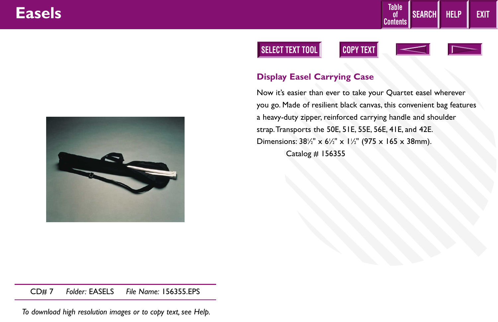![](_page_16_Picture_1.jpeg)

### **SELECT TEXT TOOL COPY TEXT**

![](_page_16_Picture_3.jpeg)

![](_page_16_Picture_4.jpeg)

### **Display Easel Carrying Case**

Now it's easier than ever to take your Quartet easel wherever you go. Made of resilient black canvas, this convenient bag features a heavy-duty zipper, reinforced carrying handle and shoulder strap.Transports the 50E, 51E, 55E, 56E, 41E, and 42E. Dimensions:  $38\frac{1}{2}$ " x  $6\frac{1}{2}$ " x 1 $\frac{1}{2}$ " (975 x 165 x 38mm). Catalog # 156355

<span id="page-16-0"></span>![](_page_16_Picture_7.jpeg)

CD# 7 *Folder:* EASELS *File Name:* 156355.EPS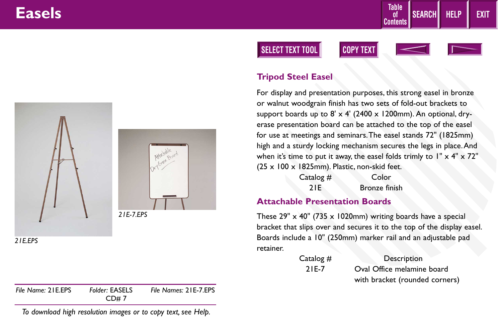<span id="page-17-0"></span>![](_page_17_Picture_1.jpeg)

*21E.EPS*

| CD#7 |
|------|
|------|

*To download high resolution images or to copy text, see Help.*

### **SELECT TEXT TOOL COPY TEXT**

![](_page_17_Picture_6.jpeg)

![](_page_17_Picture_7.jpeg)

**HELP EXIT**

**SEARCH**

**Table of Contents**

#### **Tripod Steel Easel**

For display and presentation purposes, this strong easel in bronze or walnut woodgrain finish has two sets of fold-out brackets to support boards up to  $8' \times 4'$  (2400  $\times$  1200mm). An optional, dryerase presentation board can be attached to the top of the easel for use at meetings and seminars.The easel stands 72" (1825mm) high and a sturdy locking mechanism secures the legs in place.And when it's time to put it away, the easel folds trimly to  $1" \times 4" \times 72"$ (25 x 100 x 1825mm). Plastic, non-skid feet.

| Catalog $#$ | Color         |
|-------------|---------------|
| 21E         | Bronze finish |

#### **Attachable Presentation Boards**

These  $29'' \times 40''$  (735  $\times$  1020mm) writing boards have a special bracket that slips over and secures it to the top of the display easel. Boards include a 10" (250mm) marker rail and an adjustable pad retainer.

| Catalog # | Description                    |
|-----------|--------------------------------|
| $2IE-7$   | Oval Office melamine board     |
|           | with bracket (rounded corners) |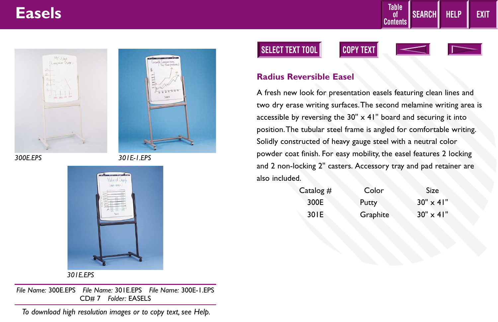<span id="page-18-0"></span>![](_page_18_Picture_1.jpeg)

*300E.EPS*

*301E-1.EPS*

![](_page_18_Picture_4.jpeg)

*301E.EPS*

*File Name:* 300E.EPS *File Name:* 301E.EPS *File Name:* 300E-1.EPS CD# 7 *Folder:* EASELS

*To download high resolution images or to copy text, see Help.*

### **SELECT TEXT TOOL COPY TEXT**

![](_page_18_Picture_9.jpeg)

![](_page_18_Picture_10.jpeg)

**HELP EXIT**

**SEARCH**

**Table of Contents**

#### **Radius Reversible Easel**

A fresh new look for presentation easels featuring clean lines and two dry erase writing surfaces.The second melamine writing area is accessible by reversing the  $30'' \times 41''$  board and securing it into position.The tubular steel frame is angled for comfortable writing. Solidly constructed of heavy gauge steel with a neutral color powder coat finish. For easy mobility, the easel features 2 locking and 2 non-locking 2'' casters. Accessory tray and pad retainer are also included.

| Catalog $#$ | Color    | Size.              |
|-------------|----------|--------------------|
| 300E        | Putty    | $30'' \times 41''$ |
| 30 IE       | Graphite | $30'' \times 41''$ |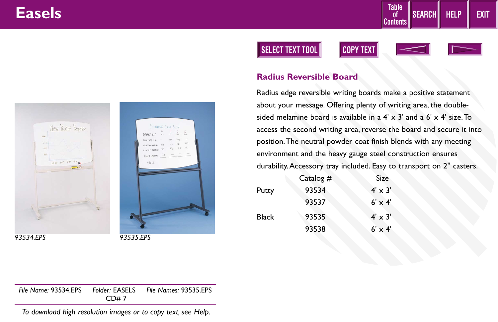<span id="page-19-0"></span>![](_page_19_Picture_1.jpeg)

*93534.EPS 93535.EPS*

### **SELECT TEXT TOOL COPY TEXT**

![](_page_19_Picture_5.jpeg)

![](_page_19_Picture_6.jpeg)

**HELP EXIT**

**SEARCH**

**Table of Contents**

#### **Radius Reversible Board**

Radius edge reversible writing boards make a positive statement about your message. Offering plenty of writing area, the doublesided melamine board is available in a  $4' \times 3'$  and a  $6' \times 4'$  size. To access the second writing area, reverse the board and secure it into position.The neutral powder coat finish blends with any meeting environment and the heavy gauge steel construction ensures durability.Accessory tray included. Easy to transport on 2'' casters.

|       | Catalog $#$ | <b>Size</b>    |
|-------|-------------|----------------|
| Putty | 93534       | $4' \times 3'$ |
|       | 93537       | $6' \times 4'$ |
| Black | 93535       | $4' \times 3'$ |
|       | 93538       | $6' \times 4'$ |
|       |             |                |

*File Name:* 93534.EPS *Folder:* EASELS *File Names:* 93535.EPS CD# 7